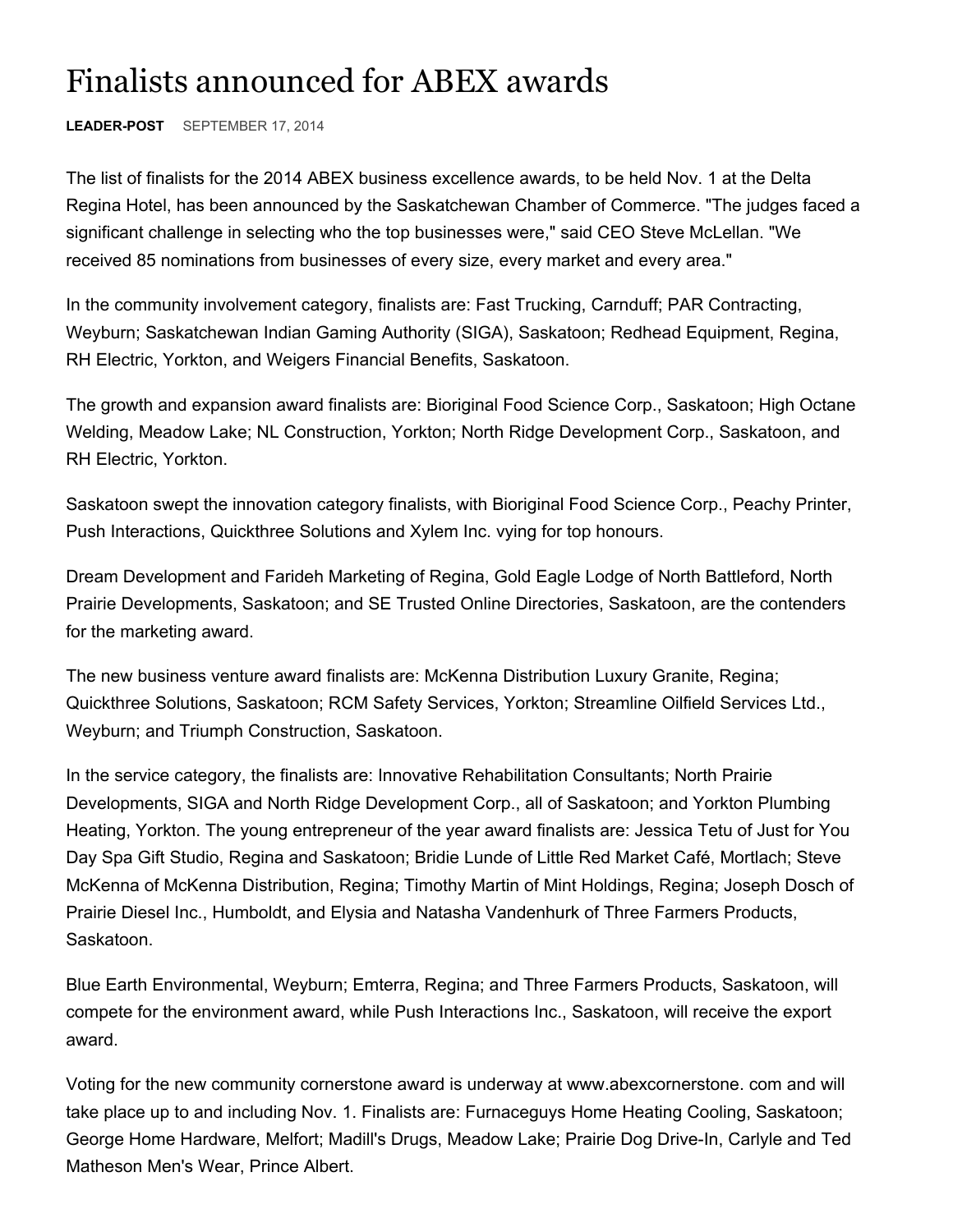## Finalists announced for ABEX awards

**LEADER-POST** SEPTEMBER 17, 2014

The list of finalists for the 2014 ABEX business excellence awards, to be held Nov. 1 at the Delta Regina Hotel, has been announced by the Saskatchewan Chamber of Commerce. "The judges faced a significant challenge in selecting who the top businesses were," said CEO Steve McLellan. "We received 85 nominations from businesses of every size, every market and every area."

In the community involvement category, finalists are: Fast Trucking, Carnduff; PAR Contracting, Weyburn; Saskatchewan Indian Gaming Authority (SIGA), Saskatoon; Redhead Equipment, Regina, RH Electric, Yorkton, and Weigers Financial Benefits, Saskatoon.

The growth and expansion award finalists are: Bioriginal Food Science Corp., Saskatoon; High Octane Welding, Meadow Lake; NL Construction, Yorkton; North Ridge Development Corp., Saskatoon, and RH Electric, Yorkton.

Saskatoon swept the innovation category finalists, with Bioriginal Food Science Corp., Peachy Printer, Push Interactions, Quickthree Solutions and Xylem Inc. vying for top honours.

Dream Development and Farideh Marketing of Regina, Gold Eagle Lodge of North Battleford, North Prairie Developments, Saskatoon; and SE Trusted Online Directories, Saskatoon, are the contenders for the marketing award.

The new business venture award finalists are: McKenna Distribution Luxury Granite, Regina; Quickthree Solutions, Saskatoon; RCM Safety Services, Yorkton; Streamline Oilfield Services Ltd., Weyburn; and Triumph Construction, Saskatoon.

In the service category, the finalists are: Innovative Rehabilitation Consultants; North Prairie Developments, SIGA and North Ridge Development Corp., all of Saskatoon; and Yorkton Plumbing Heating, Yorkton. The young entrepreneur of the year award finalists are: Jessica Tetu of Just for You Day Spa Gift Studio, Regina and Saskatoon; Bridie Lunde of Little Red Market Café, Mortlach; Steve McKenna of McKenna Distribution, Regina; Timothy Martin of Mint Holdings, Regina; Joseph Dosch of Prairie Diesel Inc., Humboldt, and Elysia and Natasha Vandenhurk of Three Farmers Products, Saskatoon.

Blue Earth Environmental, Weyburn; Emterra, Regina; and Three Farmers Products, Saskatoon, will compete for the environment award, while Push Interactions Inc., Saskatoon, will receive the export award.

Voting for the new community cornerstone award is underway at www.abexcornerstone. com and will take place up to and including Nov. 1. Finalists are: Furnaceguys Home Heating Cooling, Saskatoon; George Home Hardware, Melfort; Madill's Drugs, Meadow Lake; Prairie Dog Drive-In, Carlyle and Ted Matheson Men's Wear, Prince Albert.